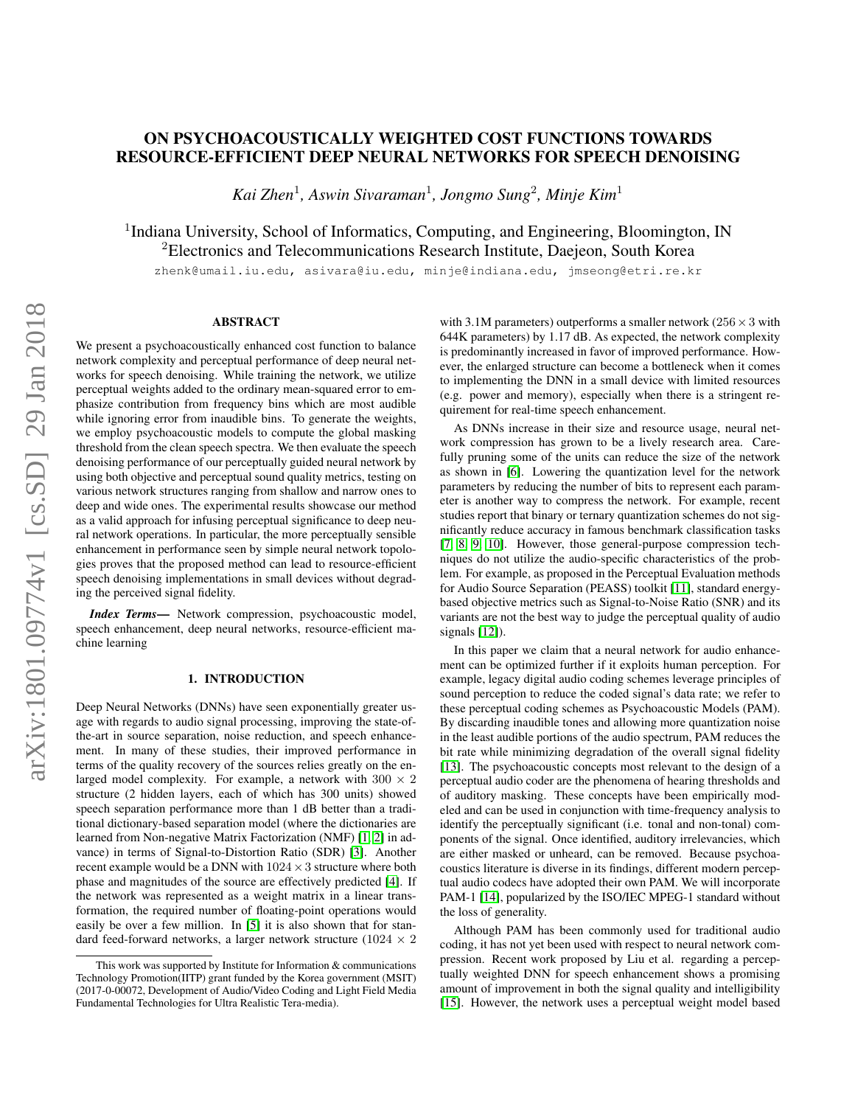# ON PSYCHOACOUSTICALLY WEIGHTED COST FUNCTIONS TOWARDS RESOURCE-EFFICIENT DEEP NEURAL NETWORKS FOR SPEECH DENOISING

*Kai Zhen*<sup>1</sup> *, Aswin Sivaraman*<sup>1</sup> *, Jongmo Sung*<sup>2</sup> *, Minje Kim*<sup>1</sup>

<sup>1</sup>Indiana University, School of Informatics, Computing, and Engineering, Bloomington, IN <sup>2</sup>Electronics and Telecommunications Research Institute, Daejeon, South Korea

zhenk@umail.iu.edu, asivara@iu.edu, minje@indiana.edu, jmseong@etri.re.kr

# ABSTRACT

We present a psychoacoustically enhanced cost function to balance network complexity and perceptual performance of deep neural networks for speech denoising. While training the network, we utilize perceptual weights added to the ordinary mean-squared error to emphasize contribution from frequency bins which are most audible while ignoring error from inaudible bins. To generate the weights, we employ psychoacoustic models to compute the global masking threshold from the clean speech spectra. We then evaluate the speech denoising performance of our perceptually guided neural network by using both objective and perceptual sound quality metrics, testing on various network structures ranging from shallow and narrow ones to deep and wide ones. The experimental results showcase our method as a valid approach for infusing perceptual significance to deep neural network operations. In particular, the more perceptually sensible enhancement in performance seen by simple neural network topologies proves that the proposed method can lead to resource-efficient speech denoising implementations in small devices without degrading the perceived signal fidelity.

*Index Terms*— Network compression, psychoacoustic model, speech enhancement, deep neural networks, resource-efficient machine learning

## 1. INTRODUCTION

Deep Neural Networks (DNNs) have seen exponentially greater usage with regards to audio signal processing, improving the state-ofthe-art in source separation, noise reduction, and speech enhancement. In many of these studies, their improved performance in terms of the quality recovery of the sources relies greatly on the enlarged model complexity. For example, a network with  $300 \times 2$ structure (2 hidden layers, each of which has 300 units) showed speech separation performance more than 1 dB better than a traditional dictionary-based separation model (where the dictionaries are learned from Non-negative Matrix Factorization (NMF) [\[1,](#page-4-0) [2\]](#page-4-1) in advance) in terms of Signal-to-Distortion Ratio (SDR) [\[3\]](#page-4-2). Another recent example would be a DNN with  $1024 \times 3$  structure where both phase and magnitudes of the source are effectively predicted [\[4\]](#page-4-3). If the network was represented as a weight matrix in a linear transformation, the required number of floating-point operations would easily be over a few million. In [\[5\]](#page-4-4) it is also shown that for standard feed-forward networks, a larger network structure ( $1024 \times 2$ ) with 3.1M parameters) outperforms a smaller network ( $256 \times 3$  with 644K parameters) by 1.17 dB. As expected, the network complexity is predominantly increased in favor of improved performance. However, the enlarged structure can become a bottleneck when it comes to implementing the DNN in a small device with limited resources (e.g. power and memory), especially when there is a stringent requirement for real-time speech enhancement.

As DNNs increase in their size and resource usage, neural network compression has grown to be a lively research area. Carefully pruning some of the units can reduce the size of the network as shown in [\[6\]](#page-4-5). Lowering the quantization level for the network parameters by reducing the number of bits to represent each parameter is another way to compress the network. For example, recent studies report that binary or ternary quantization schemes do not significantly reduce accuracy in famous benchmark classification tasks [\[7,](#page-4-6) [8,](#page-4-7) [9,](#page-4-8) [10\]](#page-4-9). However, those general-purpose compression techniques do not utilize the audio-specific characteristics of the problem. For example, as proposed in the Perceptual Evaluation methods for Audio Source Separation (PEASS) toolkit [\[11\]](#page-4-10), standard energybased objective metrics such as Signal-to-Noise Ratio (SNR) and its variants are not the best way to judge the perceptual quality of audio signals [\[12\]](#page-4-11)).

In this paper we claim that a neural network for audio enhancement can be optimized further if it exploits human perception. For example, legacy digital audio coding schemes leverage principles of sound perception to reduce the coded signal's data rate; we refer to these perceptual coding schemes as Psychoacoustic Models (PAM). By discarding inaudible tones and allowing more quantization noise in the least audible portions of the audio spectrum, PAM reduces the bit rate while minimizing degradation of the overall signal fidelity [\[13\]](#page-4-12). The psychoacoustic concepts most relevant to the design of a perceptual audio coder are the phenomena of hearing thresholds and of auditory masking. These concepts have been empirically modeled and can be used in conjunction with time-frequency analysis to identify the perceptually significant (i.e. tonal and non-tonal) components of the signal. Once identified, auditory irrelevancies, which are either masked or unheard, can be removed. Because psychoacoustics literature is diverse in its findings, different modern perceptual audio codecs have adopted their own PAM. We will incorporate PAM-1 [\[14\]](#page-4-13), popularized by the ISO/IEC MPEG-1 standard without the loss of generality.

Although PAM has been commonly used for traditional audio coding, it has not yet been used with respect to neural network compression. Recent work proposed by Liu et al. regarding a perceptually weighted DNN for speech enhancement shows a promising amount of improvement in both the signal quality and intelligibility [\[15\]](#page-4-14). However, the network uses a perceptual weight model based

This work was supported by Institute for Information  $&$  communications Technology Promotion(IITP) grant funded by the Korea government (MSIT) (2017-0-00072, Development of Audio/Video Coding and Light Field Media Fundamental Technologies for Ultra Realistic Tera-media).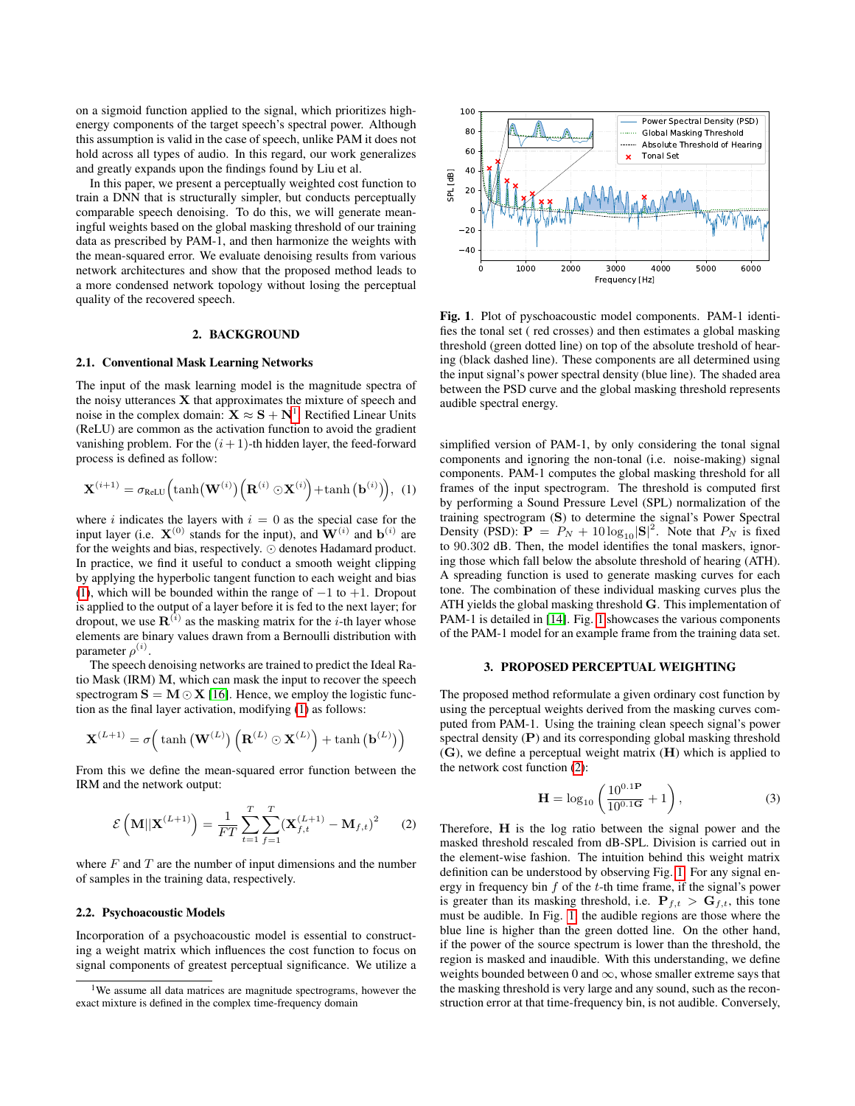on a sigmoid function applied to the signal, which prioritizes highenergy components of the target speech's spectral power. Although this assumption is valid in the case of speech, unlike PAM it does not hold across all types of audio. In this regard, our work generalizes and greatly expands upon the findings found by Liu et al.

In this paper, we present a perceptually weighted cost function to train a DNN that is structurally simpler, but conducts perceptually comparable speech denoising. To do this, we will generate meaningful weights based on the global masking threshold of our training data as prescribed by PAM-1, and then harmonize the weights with the mean-squared error. We evaluate denoising results from various network architectures and show that the proposed method leads to a more condensed network topology without losing the perceptual quality of the recovered speech.

#### 2. BACKGROUND

#### 2.1. Conventional Mask Learning Networks

The input of the mask learning model is the magnitude spectra of the noisy utterances  $X$  that approximates the mixture of speech and noise in the complex domain:  $\mathbf{X} \approx \mathbf{S} + \mathbf{N}^1$  $\mathbf{X} \approx \mathbf{S} + \mathbf{N}^1$ . Rectified Linear Units (ReLU) are common as the activation function to avoid the gradient vanishing problem. For the  $(i + 1)$ -th hidden layer, the feed-forward process is defined as follow:

<span id="page-1-1"></span>
$$
\mathbf{X}^{(i+1)} = \sigma_{\text{ReLU}} \Big( \tanh\big(\mathbf{W}^{(i)}\big) \Big( \mathbf{R}^{(i)} \odot \mathbf{X}^{(i)} \Big) + \tanh\big(\mathbf{b}^{(i)}\big) \Big), \ (1)
$$

where i indicates the layers with  $i = 0$  as the special case for the input layer (i.e.  $X^{(0)}$  stands for the input), and  $W^{(i)}$  and  $b^{(i)}$  are for the weights and bias, respectively.  $\odot$  denotes Hadamard product. In practice, we find it useful to conduct a smooth weight clipping by applying the hyperbolic tangent function to each weight and bias [\(1\)](#page-1-1), which will be bounded within the range of  $-1$  to  $+1$ . Dropout is applied to the output of a layer before it is fed to the next layer; for dropout, we use  $\mathbf{R}^{(i)}$  as the masking matrix for the *i*-th layer whose elements are binary values drawn from a Bernoulli distribution with parameter  $\rho^{(i)}$ .

The speech denoising networks are trained to predict the Ideal Ratio Mask (IRM) M, which can mask the input to recover the speech spectrogram  $S = M \odot X$  [\[16\]](#page-4-15). Hence, we employ the logistic function as the final layer activation, modifying [\(1\)](#page-1-1) as follows:

<span id="page-1-3"></span>
$$
\mathbf{X}^{(L+1)} = \sigma\left(\tanh\left(\mathbf{W}^{(L)}\right)\left(\mathbf{R}^{(L)}\odot\mathbf{X}^{(L)}\right) + \tanh\left(\mathbf{b}^{(L)}\right)\right)
$$

From this we define the mean-squared error function between the IRM and the network output:

$$
\mathcal{E}\left(\mathbf{M}||\mathbf{X}^{(L+1)}\right) = \frac{1}{FT} \sum_{t=1}^{T} \sum_{f=1}^{T} (\mathbf{X}_{f,t}^{(L+1)} - \mathbf{M}_{f,t})^2 \tag{2}
$$

where  $F$  and  $T$  are the number of input dimensions and the number of samples in the training data, respectively.

## 2.2. Psychoacoustic Models

Incorporation of a psychoacoustic model is essential to constructing a weight matrix which influences the cost function to focus on signal components of greatest perceptual significance. We utilize a



<span id="page-1-2"></span>Fig. 1. Plot of pyschoacoustic model components. PAM-1 identifies the tonal set ( red crosses) and then estimates a global masking threshold (green dotted line) on top of the absolute treshold of hearing (black dashed line). These components are all determined using the input signal's power spectral density (blue line). The shaded area between the PSD curve and the global masking threshold represents audible spectral energy.

simplified version of PAM-1, by only considering the tonal signal components and ignoring the non-tonal (i.e. noise-making) signal components. PAM-1 computes the global masking threshold for all frames of the input spectrogram. The threshold is computed first by performing a Sound Pressure Level (SPL) normalization of the training spectrogram (S) to determine the signal's Power Spectral Density (PSD):  $\mathbf{P} = P_N + 10 \log_{10} |\mathbf{S}|^2$ . Note that  $P_N$  is fixed to 90.302 dB. Then, the model identifies the tonal maskers, ignoring those which fall below the absolute threshold of hearing (ATH). A spreading function is used to generate masking curves for each tone. The combination of these individual masking curves plus the ATH yields the global masking threshold G. This implementation of PAM-1 is detailed in [\[14\]](#page-4-13). Fig. [1](#page-1-2) showcases the various components of the PAM-1 model for an example frame from the training data set.

## 3. PROPOSED PERCEPTUAL WEIGHTING

The proposed method reformulate a given ordinary cost function by using the perceptual weights derived from the masking curves computed from PAM-1. Using the training clean speech signal's power spectral density (P) and its corresponding global masking threshold (G), we define a perceptual weight matrix (H) which is applied to the network cost function [\(2\)](#page-1-3):

$$
\mathbf{H} = \log_{10} \left( \frac{10^{0.1} \mathbf{P}}{10^{0.1} \mathbf{G}} + 1 \right),\tag{3}
$$

Therefore, H is the log ratio between the signal power and the masked threshold rescaled from dB-SPL. Division is carried out in the element-wise fashion. The intuition behind this weight matrix definition can be understood by observing Fig. [1.](#page-1-2) For any signal energy in frequency bin  $f$  of the  $t$ -th time frame, if the signal's power is greater than its masking threshold, i.e.  $P_{f,t} > G_{f,t}$ , this tone must be audible. In Fig. [1,](#page-1-2) the audible regions are those where the blue line is higher than the green dotted line. On the other hand, if the power of the source spectrum is lower than the threshold, the region is masked and inaudible. With this understanding, we define weights bounded between 0 and  $\infty$ , whose smaller extreme says that the masking threshold is very large and any sound, such as the reconstruction error at that time-frequency bin, is not audible. Conversely,

<span id="page-1-0"></span><sup>&</sup>lt;sup>1</sup>We assume all data matrices are magnitude spectrograms, however the exact mixture is defined in the complex time-frequency domain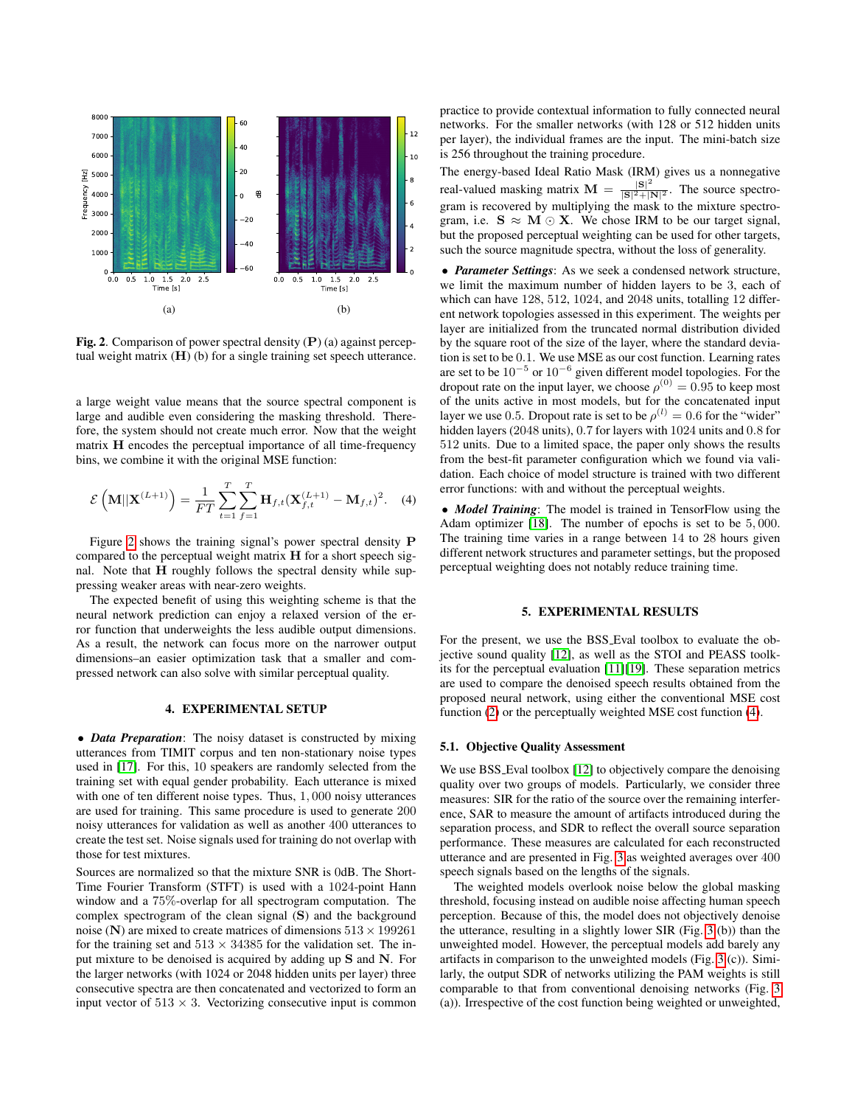

<span id="page-2-0"></span>**Fig. 2.** Comparison of power spectral density  $(P)$  (a) against perceptual weight matrix  $(H)$  (b) for a single training set speech utterance.

a large weight value means that the source spectral component is large and audible even considering the masking threshold. Therefore, the system should not create much error. Now that the weight matrix H encodes the perceptual importance of all time-frequency bins, we combine it with the original MSE function:

<span id="page-2-1"></span>
$$
\mathcal{E}\left(\mathbf{M}||\mathbf{X}^{(L+1)}\right) = \frac{1}{FT} \sum_{t=1}^{T} \sum_{f=1}^{T} \mathbf{H}_{f,t} (\mathbf{X}_{f,t}^{(L+1)} - \mathbf{M}_{f,t})^2.
$$
 (4)

Figure [2](#page-2-0) shows the training signal's power spectral density P compared to the perceptual weight matrix H for a short speech signal. Note that  $H$  roughly follows the spectral density while suppressing weaker areas with near-zero weights.

The expected benefit of using this weighting scheme is that the neural network prediction can enjoy a relaxed version of the error function that underweights the less audible output dimensions. As a result, the network can focus more on the narrower output dimensions–an easier optimization task that a smaller and compressed network can also solve with similar perceptual quality.

# 4. EXPERIMENTAL SETUP

• *Data Preparation*: The noisy dataset is constructed by mixing utterances from TIMIT corpus and ten non-stationary noise types used in [\[17\]](#page-4-16). For this, 10 speakers are randomly selected from the training set with equal gender probability. Each utterance is mixed with one of ten different noise types. Thus, 1, 000 noisy utterances are used for training. This same procedure is used to generate 200 noisy utterances for validation as well as another 400 utterances to create the test set. Noise signals used for training do not overlap with those for test mixtures.

Sources are normalized so that the mixture SNR is 0dB. The Short-Time Fourier Transform (STFT) is used with a 1024-point Hann window and a 75%-overlap for all spectrogram computation. The complex spectrogram of the clean signal (S) and the background noise (N) are mixed to create matrices of dimensions  $513 \times 199261$ for the training set and  $513 \times 34385$  for the validation set. The input mixture to be denoised is acquired by adding up S and N. For the larger networks (with 1024 or 2048 hidden units per layer) three consecutive spectra are then concatenated and vectorized to form an input vector of  $513 \times 3$ . Vectorizing consecutive input is common

practice to provide contextual information to fully connected neural networks. For the smaller networks (with 128 or 512 hidden units per layer), the individual frames are the input. The mini-batch size is 256 throughout the training procedure.

The energy-based Ideal Ratio Mask (IRM) gives us a nonnegative real-valued masking matrix  $\mathbf{M} = \frac{|\mathbf{S}|^2}{|\mathbf{S}|^2 + |I|}$  $\frac{|S|^2}{|S|^2+|N|^2}$ . The source spectrogram is recovered by multiplying the mask to the mixture spectrogram, i.e.  $S \approx M \odot X$ . We chose IRM to be our target signal, but the proposed perceptual weighting can be used for other targets, such the source magnitude spectra, without the loss of generality.

• *Parameter Settings*: As we seek a condensed network structure, we limit the maximum number of hidden layers to be 3, each of which can have 128, 512, 1024, and 2048 units, totalling 12 different network topologies assessed in this experiment. The weights per layer are initialized from the truncated normal distribution divided by the square root of the size of the layer, where the standard deviation is set to be 0.1. We use MSE as our cost function. Learning rates are set to be  $10^{-5}$  or  $10^{-6}$  given different model topologies. For the dropout rate on the input layer, we choose  $\rho^{(0)} = 0.95$  to keep most of the units active in most models, but for the concatenated input layer we use 0.5. Dropout rate is set to be  $\rho^{(l)} = 0.6$  for the "wider" hidden layers (2048 units), 0.7 for layers with 1024 units and 0.8 for 512 units. Due to a limited space, the paper only shows the results from the best-fit parameter configuration which we found via validation. Each choice of model structure is trained with two different error functions: with and without the perceptual weights.

• *Model Training*: The model is trained in TensorFlow using the Adam optimizer [\[18\]](#page-4-17). The number of epochs is set to be 5, 000. The training time varies in a range between 14 to 28 hours given different network structures and parameter settings, but the proposed perceptual weighting does not notably reduce training time.

## 5. EXPERIMENTAL RESULTS

For the present, we use the BSS Eval toolbox to evaluate the objective sound quality [\[12\]](#page-4-11), as well as the STOI and PEASS toolkits for the perceptual evaluation [\[11\]](#page-4-10)[\[19\]](#page-4-18). These separation metrics are used to compare the denoised speech results obtained from the proposed neural network, using either the conventional MSE cost function [\(2\)](#page-1-3) or the perceptually weighted MSE cost function [\(4\)](#page-2-1).

## <span id="page-2-2"></span>5.1. Objective Quality Assessment

We use BSS\_Eval toolbox [\[12\]](#page-4-11) to objectively compare the denoising quality over two groups of models. Particularly, we consider three measures: SIR for the ratio of the source over the remaining interference, SAR to measure the amount of artifacts introduced during the separation process, and SDR to reflect the overall source separation performance. These measures are calculated for each reconstructed utterance and are presented in Fig. [3](#page-3-0) as weighted averages over 400 speech signals based on the lengths of the signals.

The weighted models overlook noise below the global masking threshold, focusing instead on audible noise affecting human speech perception. Because of this, the model does not objectively denoise the utterance, resulting in a slightly lower SIR (Fig. [3](#page-3-0) (b)) than the unweighted model. However, the perceptual models add barely any artifacts in comparison to the unweighted models (Fig. [3](#page-3-0) (c)). Similarly, the output SDR of networks utilizing the PAM weights is still comparable to that from conventional denoising networks (Fig. [3](#page-3-0) (a)). Irrespective of the cost function being weighted or unweighted,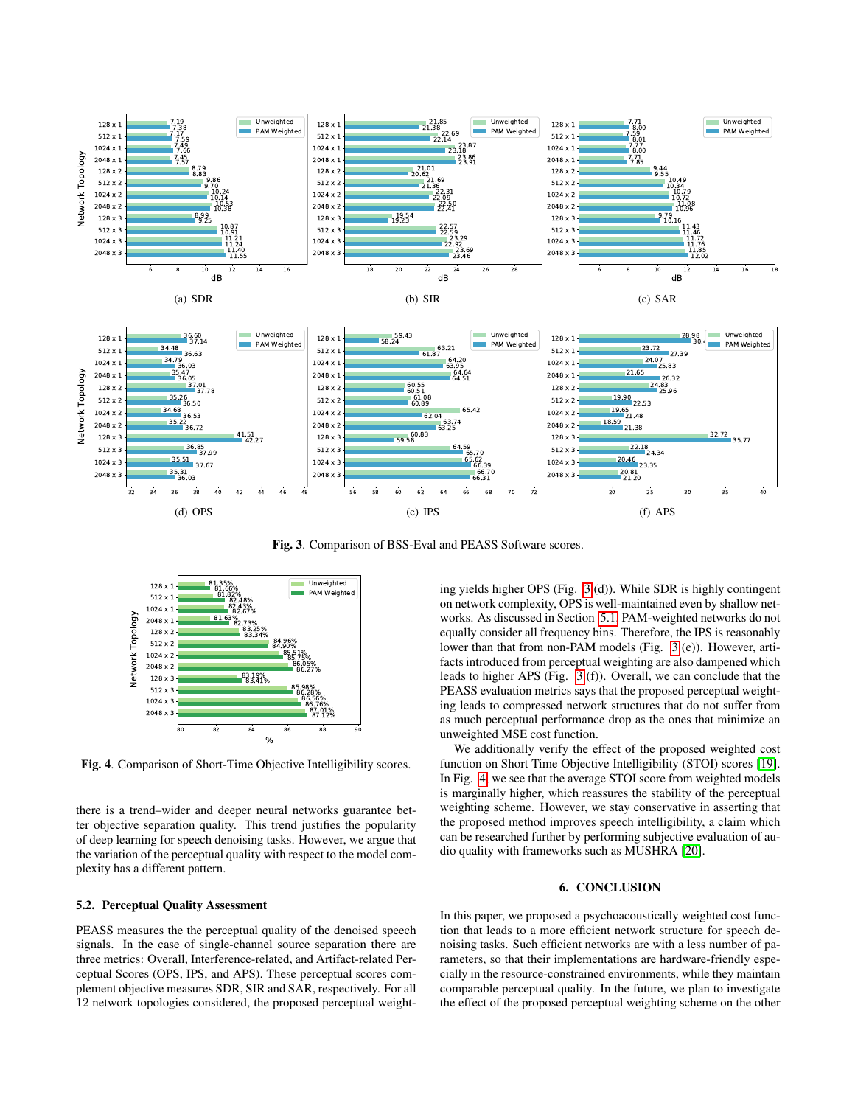

<span id="page-3-0"></span>Fig. 3. Comparison of BSS-Eval and PEASS Software scores.



<span id="page-3-1"></span>Fig. 4. Comparison of Short-Time Objective Intelligibility scores.

there is a trend–wider and deeper neural networks guarantee better objective separation quality. This trend justifies the popularity of deep learning for speech denoising tasks. However, we argue that the variation of the perceptual quality with respect to the model complexity has a different pattern.

## 5.2. Perceptual Quality Assessment

PEASS measures the the perceptual quality of the denoised speech signals. In the case of single-channel source separation there are three metrics: Overall, Interference-related, and Artifact-related Perceptual Scores (OPS, IPS, and APS). These perceptual scores complement objective measures SDR, SIR and SAR, respectively. For all 12 network topologies considered, the proposed perceptual weighting yields higher OPS (Fig. [3](#page-3-0) (d)). While SDR is highly contingent on network complexity, OPS is well-maintained even by shallow networks. As discussed in Section [5.1,](#page-2-2) PAM-weighted networks do not equally consider all frequency bins. Therefore, the IPS is reasonably lower than that from non-PAM models (Fig. [3](#page-3-0) (e)). However, artifacts introduced from perceptual weighting are also dampened which leads to higher APS (Fig. [3](#page-3-0) (f)). Overall, we can conclude that the PEASS evaluation metrics says that the proposed perceptual weighting leads to compressed network structures that do not suffer from as much perceptual performance drop as the ones that minimize an unweighted MSE cost function.

We additionally verify the effect of the proposed weighted cost function on Short Time Objective Intelligibility (STOI) scores [\[19\]](#page-4-18). In Fig. [4,](#page-3-1) we see that the average STOI score from weighted models is marginally higher, which reassures the stability of the perceptual weighting scheme. However, we stay conservative in asserting that the proposed method improves speech intelligibility, a claim which can be researched further by performing subjective evaluation of audio quality with frameworks such as MUSHRA [\[20\]](#page-4-19).

## 6. CONCLUSION

In this paper, we proposed a psychoacoustically weighted cost function that leads to a more efficient network structure for speech denoising tasks. Such efficient networks are with a less number of parameters, so that their implementations are hardware-friendly especially in the resource-constrained environments, while they maintain comparable perceptual quality. In the future, we plan to investigate the effect of the proposed perceptual weighting scheme on the other